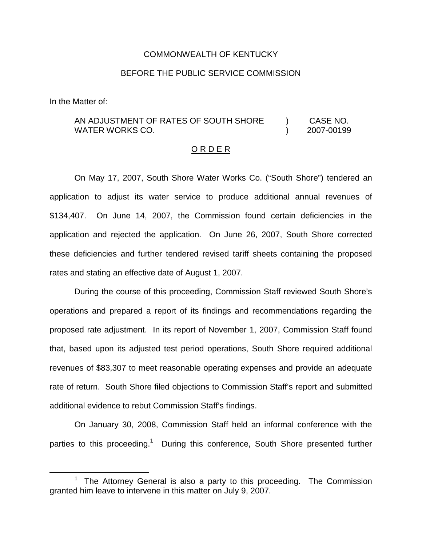## COMMONWEALTH OF KENTUCKY

## BEFORE THE PUBLIC SERVICE COMMISSION

In the Matter of:

## AN ADJUSTMENT OF RATES OF SOUTH SHORE WATER WORKS CO. ) CASE NO. ) 2007-00199

## O R D E R

On May 17, 2007, South Shore Water Works Co. ("South Shore") tendered an application to adjust its water service to produce additional annual revenues of \$134,407. On June 14, 2007, the Commission found certain deficiencies in the application and rejected the application. On June 26, 2007, South Shore corrected these deficiencies and further tendered revised tariff sheets containing the proposed rates and stating an effective date of August 1, 2007.

During the course of this proceeding, Commission Staff reviewed South Shore's operations and prepared a report of its findings and recommendations regarding the proposed rate adjustment. In its report of November 1, 2007, Commission Staff found that, based upon its adjusted test period operations, South Shore required additional revenues of \$83,307 to meet reasonable operating expenses and provide an adequate rate of return. South Shore filed objections to Commission Staff's report and submitted additional evidence to rebut Commission Staff's findings.

On January 30, 2008, Commission Staff held an informal conference with the parties to this proceeding.<sup>1</sup> During this conference, South Shore presented further

<sup>&</sup>lt;sup>1</sup> The Attorney General is also a party to this proceeding. The Commission granted him leave to intervene in this matter on July 9, 2007.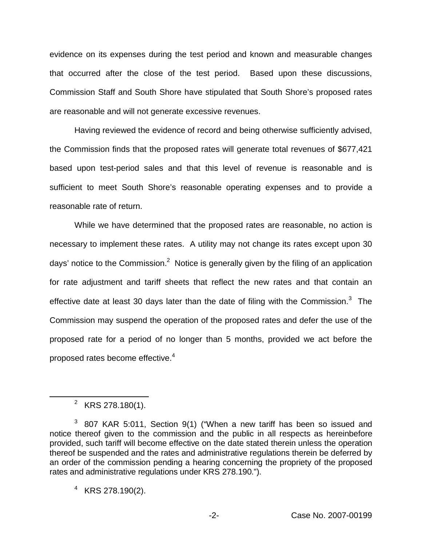evidence on its expenses during the test period and known and measurable changes that occurred after the close of the test period. Based upon these discussions, Commission Staff and South Shore have stipulated that South Shore's proposed rates are reasonable and will not generate excessive revenues.

Having reviewed the evidence of record and being otherwise sufficiently advised, the Commission finds that the proposed rates will generate total revenues of \$677,421 based upon test-period sales and that this level of revenue is reasonable and is sufficient to meet South Shore's reasonable operating expenses and to provide a reasonable rate of return.

While we have determined that the proposed rates are reasonable, no action is necessary to implement these rates. A utility may not change its rates except upon 30 days' notice to the Commission.<sup>2</sup> Notice is generally given by the filing of an application for rate adjustment and tariff sheets that reflect the new rates and that contain an effective date at least 30 days later than the date of filing with the Commission. $3$  The Commission may suspend the operation of the proposed rates and defer the use of the proposed rate for a period of no longer than 5 months, provided we act before the proposed rates become effective.<sup>4</sup>

 $2$  KRS 278.180(1).

 $3$  807 KAR 5:011, Section 9(1) ("When a new tariff has been so issued and notice thereof given to the commission and the public in all respects as hereinbefore provided, such tariff will become effective on the date stated therein unless the operation thereof be suspended and the rates and administrative regulations therein be deferred by an order of the commission pending a hearing concerning the propriety of the proposed rates and administrative regulations under KRS 278.190.").

 $4$  KRS 278.190(2).